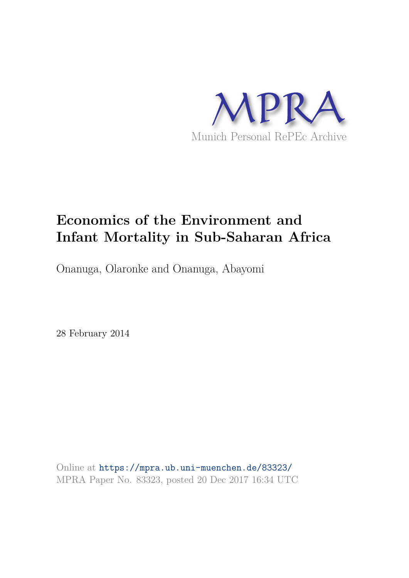

# **Economics of the Environment and Infant Mortality in Sub-Saharan Africa**

Onanuga, Olaronke and Onanuga, Abayomi

28 February 2014

Online at https://mpra.ub.uni-muenchen.de/83323/ MPRA Paper No. 83323, posted 20 Dec 2017 16:34 UTC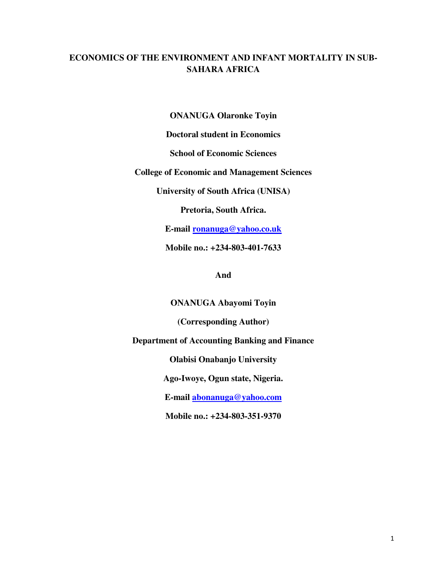# **ECONOMICS OF THE ENVIRONMENT AND INFANT MORTALITY IN SUB-SAHARA AFRICA**

**ONANUGA Olaronke Toyin** 

**Doctoral student in Economics** 

**School of Economic Sciences** 

**College of Economic and Management Sciences** 

**University of South Africa (UNISA)** 

**Pretoria, South Africa.** 

**E-mail [ronanuga@yahoo.co.uk](mailto:ronanuga@yahoo.co.uk)**

**Mobile no.: +234-803-401-7633** 

**And** 

**ONANUGA Abayomi Toyin** 

**(Corresponding Author)** 

**Department of Accounting Banking and Finance** 

**Olabisi Onabanjo University** 

**Ago-Iwoye, Ogun state, Nigeria.** 

**E-mail [abonanuga@yahoo.com](mailto:abonanuga@yahoo.com)**

**Mobile no.: +234-803-351-9370**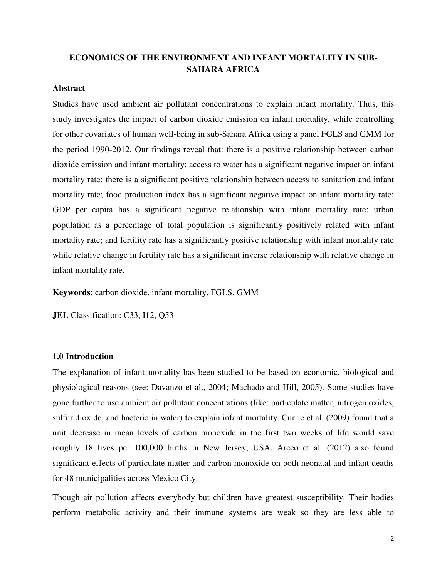### **ECONOMICS OF THE ENVIRONMENT AND INFANT MORTALITY IN SUB-SAHARA AFRICA**

#### **Abstract**

Studies have used ambient air pollutant concentrations to explain infant mortality. Thus, this study investigates the impact of carbon dioxide emission on infant mortality, while controlling for other covariates of human well-being in sub-Sahara Africa using a panel FGLS and GMM for the period 1990-2012. Our findings reveal that: there is a positive relationship between carbon dioxide emission and infant mortality; access to water has a significant negative impact on infant mortality rate; there is a significant positive relationship between access to sanitation and infant mortality rate; food production index has a significant negative impact on infant mortality rate; GDP per capita has a significant negative relationship with infant mortality rate; urban population as a percentage of total population is significantly positively related with infant mortality rate; and fertility rate has a significantly positive relationship with infant mortality rate while relative change in fertility rate has a significant inverse relationship with relative change in infant mortality rate.

**Keywords**: carbon dioxide, infant mortality, FGLS, GMM

**JEL** Classification: C33, I12, Q53

#### **1.0 Introduction**

The explanation of infant mortality has been studied to be based on economic, biological and physiological reasons (see: Davanzo et al., 2004; Machado and Hill, 2005). Some studies have gone further to use ambient air pollutant concentrations (like: particulate matter, nitrogen oxides, sulfur dioxide, and bacteria in water) to explain infant mortality. Currie et al. (2009) found that a unit decrease in mean levels of carbon monoxide in the first two weeks of life would save roughly 18 lives per 100,000 births in New Jersey, USA. Arceo et al. (2012) also found significant effects of particulate matter and carbon monoxide on both neonatal and infant deaths for 48 municipalities across Mexico City.

Though air pollution affects everybody but children have greatest susceptibility. Their bodies perform metabolic activity and their immune systems are weak so they are less able to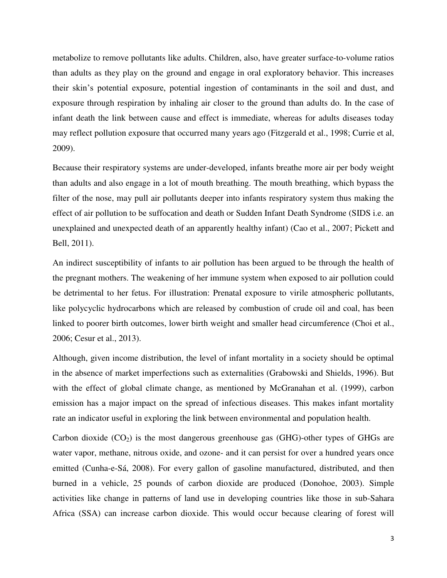metabolize to remove pollutants like adults. Children, also, have greater surface-to-volume ratios than adults as they play on the ground and engage in oral exploratory behavior. This increases their skin's potential exposure, potential ingestion of contaminants in the soil and dust, and exposure through respiration by inhaling air closer to the ground than adults do. In the case of infant death the link between cause and effect is immediate, whereas for adults diseases today may reflect pollution exposure that occurred many years ago (Fitzgerald et al., 1998; Currie et al, 2009).

Because their respiratory systems are under-developed, infants breathe more air per body weight than adults and also engage in a lot of mouth breathing. The mouth breathing, which bypass the filter of the nose, may pull air pollutants deeper into infants respiratory system thus making the effect of air pollution to be suffocation and death or Sudden Infant Death Syndrome (SIDS i.e. an unexplained and unexpected death of an apparently healthy infant) (Cao et al., 2007; Pickett and Bell, 2011).

An indirect susceptibility of infants to air pollution has been argued to be through the health of the pregnant mothers. The weakening of her immune system when exposed to air pollution could be detrimental to her fetus. For illustration: Prenatal exposure to virile atmospheric pollutants, like polycyclic hydrocarbons which are released by combustion of crude oil and coal, has been linked to poorer birth outcomes, lower birth weight and smaller head circumference (Choi et al., 2006; Cesur et al., 2013).

Although, given income distribution, the level of infant mortality in a society should be optimal in the absence of market imperfections such as externalities (Grabowski and Shields, 1996). But with the effect of global climate change, as mentioned by McGranahan et al. (1999), carbon emission has a major impact on the spread of infectious diseases. This makes infant mortality rate an indicator useful in exploring the link between environmental and population health.

Carbon dioxide  $(CO<sub>2</sub>)$  is the most dangerous greenhouse gas  $(GHG)$ -other types of GHGs are water vapor, methane, nitrous oxide, and ozone- and it can persist for over a hundred years once emitted (Cunha-e-Sá, 2008). For every gallon of gasoline manufactured, distributed, and then burned in a vehicle, 25 pounds of carbon dioxide are produced (Donohoe, 2003). Simple activities like change in patterns of land use in developing countries like those in sub-Sahara Africa (SSA) can increase carbon dioxide. This would occur because clearing of forest will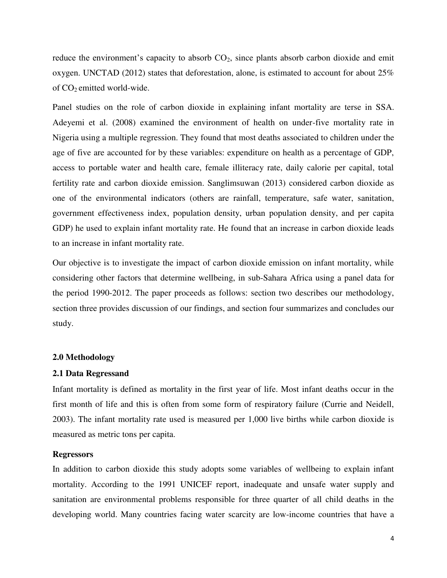reduce the environment's capacity to absorb  $CO<sub>2</sub>$ , since plants absorb carbon dioxide and emit oxygen. UNCTAD (2012) states that deforestation, alone, is estimated to account for about  $25\%$ of CO2 emitted world-wide.

Panel studies on the role of carbon dioxide in explaining infant mortality are terse in SSA. Adeyemi et al. (2008) examined the environment of health on under-five mortality rate in Nigeria using a multiple regression. They found that most deaths associated to children under the age of five are accounted for by these variables: expenditure on health as a percentage of GDP, access to portable water and health care, female illiteracy rate, daily calorie per capital, total fertility rate and carbon dioxide emission. Sanglimsuwan (2013) considered carbon dioxide as one of the environmental indicators (others are rainfall, temperature, safe water, sanitation, government effectiveness index, population density, urban population density, and per capita GDP) he used to explain infant mortality rate. He found that an increase in carbon dioxide leads to an increase in infant mortality rate.

Our objective is to investigate the impact of carbon dioxide emission on infant mortality, while considering other factors that determine wellbeing, in sub-Sahara Africa using a panel data for the period 1990-2012. The paper proceeds as follows: section two describes our methodology, section three provides discussion of our findings, and section four summarizes and concludes our study.

#### **2.0 Methodology**

#### **2.1 Data Regressand**

Infant mortality is defined as mortality in the first year of life. Most infant deaths occur in the first month of life and this is often from some form of respiratory failure (Currie and Neidell, 2003). The infant mortality rate used is measured per 1,000 live births while carbon dioxide is measured as metric tons per capita.

#### **Regressors**

In addition to carbon dioxide this study adopts some variables of wellbeing to explain infant mortality. According to the 1991 UNICEF report, inadequate and unsafe water supply and sanitation are environmental problems responsible for three quarter of all child deaths in the developing world. Many countries facing water scarcity are low-income countries that have a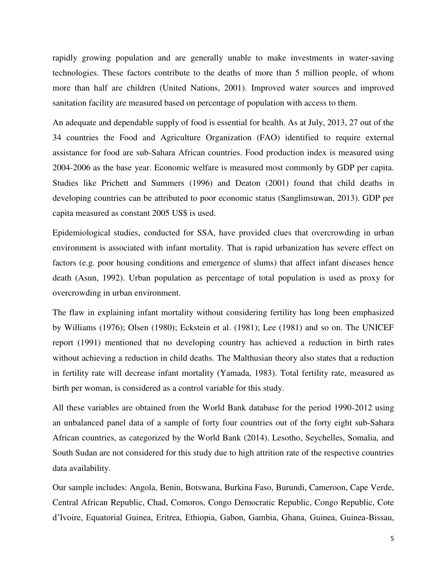rapidly growing population and are generally unable to make investments in water-saving technologies. These factors contribute to the deaths of more than 5 million people, of whom more than half are children (United Nations, 2001). Improved water sources and improved sanitation facility are measured based on percentage of population with access to them.

An adequate and dependable supply of food is essential for health. As at July, 2013, 27 out of the 34 countries the Food and Agriculture Organization (FAO) identified to require external assistance for food are sub-Sahara African countries. Food production index is measured using 2004-2006 as the base year. Economic welfare is measured most commonly by GDP per capita. Studies like Prichett and Summers (1996) and Deaton (2001) found that child deaths in developing countries can be attributed to poor economic status (Sanglimsuwan, 2013). GDP per capita measured as constant 2005 US\$ is used.

Epidemiological studies, conducted for SSA, have provided clues that overcrowding in urban environment is associated with infant mortality. That is rapid urbanization has severe effect on factors (e.g. poor housing conditions and emergence of slums) that affect infant diseases hence death (Asun, 1992). Urban population as percentage of total population is used as proxy for overcrowding in urban environment.

The flaw in explaining infant mortality without considering fertility has long been emphasized by Williams (1976); Olsen (1980); Eckstein et al. (1981); Lee (1981) and so on. The UNICEF report (1991) mentioned that no developing country has achieved a reduction in birth rates without achieving a reduction in child deaths. The Malthusian theory also states that a reduction in fertility rate will decrease infant mortality (Yamada, 1983). Total fertility rate, measured as birth per woman, is considered as a control variable for this study.

All these variables are obtained from the World Bank database for the period 1990-2012 using an unbalanced panel data of a sample of forty four countries out of the forty eight sub-Sahara African countries, as categorized by the World Bank (2014). Lesotho, Seychelles, Somalia, and South Sudan are not considered for this study due to high attrition rate of the respective countries data availability.

Our sample includes: Angola, Benin, Botswana, Burkina Faso, Burundi, Cameroon, Cape Verde, Central African Republic, Chad, Comoros, Congo Democratic Republic, Congo Republic, Cote d'Ivoire, Equatorial Guinea, Eritrea, Ethiopia, Gabon, Gambia, Ghana, Guinea, Guinea-Bissau,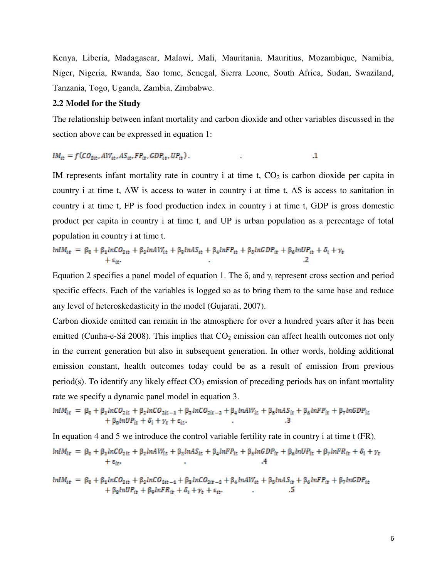Kenya, Liberia, Madagascar, Malawi, Mali, Mauritania, Mauritius, Mozambique, Namibia, Niger, Nigeria, Rwanda, Sao tome, Senegal, Sierra Leone, South Africa, Sudan, Swaziland, Tanzania, Togo, Uganda, Zambia, Zimbabwe.

#### **2.2 Model for the Study**

The relationship between infant mortality and carbon dioxide and other variables discussed in the section above can be expressed in equation 1:

$$
IM_{it} = f(CO_{2it}, AW_{it}, AS_{it}, FP_{it}, GDP_{it}, UP_{it}).
$$

IM represents infant mortality rate in country i at time t,  $CO<sub>2</sub>$  is carbon dioxide per capita in country i at time t, AW is access to water in country i at time t, AS is access to sanitation in country i at time t, FP is food production index in country i at time t, GDP is gross domestic product per capita in country i at time t, and UP is urban population as a percentage of total population in country i at time t.

$$
lnIM_{it} = \beta_0 + \beta_1 lnCO_{2it} + \beta_2 lnAW_{it} + \beta_3 lnAS_{it} + \beta_4 lnFP_{it} + \beta_5 lnGDP_{it} + \beta_6 lnUP_{it} + \delta_i + \gamma_t
$$
  
+ 
$$
\epsilon_{it}.
$$

Equation 2 specifies a panel model of equation 1. The  $\delta_i$  and  $\gamma_t$  represent cross section and period specific effects. Each of the variables is logged so as to bring them to the same base and reduce any level of heteroskedasticity in the model (Gujarati, 2007).

Carbon dioxide emitted can remain in the atmosphere for over a hundred years after it has been emitted (Cunha-e-Sá 2008). This implies that  $CO<sub>2</sub>$  emission can affect health outcomes not only in the current generation but also in subsequent generation. In other words, holding additional emission constant, health outcomes today could be as a result of emission from previous period(s). To identify any likely effect  $CO_2$  emission of preceding periods has on infant mortality rate we specify a dynamic panel model in equation 3.

$$
lnIM_{it} = \beta_0 + \beta_1 lnCO_{2it} + \beta_2 lnCO_{2it-1} + \beta_3 lnCO_{2it-2} + \beta_4 lnAW_{it} + \beta_5 lnAS_{it} + \beta_6 lnFP_{it} + \beta_7 lnGDP_{it} + \beta_8 lnUP_{it} + \delta_i + \gamma_t + \epsilon_{it}.
$$

In equation 4 and 5 we introduce the control variable fertility rate in country i at time t (FR).  $ln IM_{it} \ = \ \beta_0 + \beta_1 lnCO_{2it} \ + \beta_2 lnAW_{it} \ + \beta_3 lnAS_{it} \ + \beta_4 lnFP_{it} \ + \beta_5 lnGDP_{it} \ + \beta_6 lnUP_{it} \ + \beta_7 lnFR_{it} \ + \delta_i \ + \gamma_t$  $+ \varepsilon_{it}$ .

$$
\begin{array}{rcl}\n\ln IM_{it} &=& \beta_0 + \beta_1 \ln CO_{2it} + \beta_2 \ln CO_{2it-1} + \beta_3 \ln CO_{2it-2} + \beta_4 \ln AW_{it} + \beta_5 \ln AS_{it} + \beta_6 \ln FP_{it} + \beta_7 \ln GDP_{it} \\
&+ \beta_8 \ln UP_{it} + \beta_9 \ln FR_{it} + \delta_i + \gamma_t + \epsilon_{it}.\n\end{array}\n\tag{5}
$$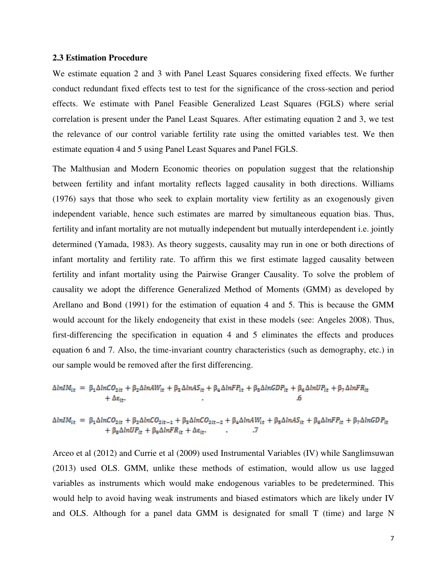#### **2.3 Estimation Procedure**

We estimate equation 2 and 3 with Panel Least Squares considering fixed effects. We further conduct redundant fixed effects test to test for the significance of the cross-section and period effects. We estimate with Panel Feasible Generalized Least Squares (FGLS) where serial correlation is present under the Panel Least Squares. After estimating equation 2 and 3, we test the relevance of our control variable fertility rate using the omitted variables test. We then estimate equation 4 and 5 using Panel Least Squares and Panel FGLS.

The Malthusian and Modern Economic theories on population suggest that the relationship between fertility and infant mortality reflects lagged causality in both directions. Williams (1976) says that those who seek to explain mortality view fertility as an exogenously given independent variable, hence such estimates are marred by simultaneous equation bias. Thus, fertility and infant mortality are not mutually independent but mutually interdependent i.e. jointly determined (Yamada, 1983). As theory suggests, causality may run in one or both directions of infant mortality and fertility rate. To affirm this we first estimate lagged causality between fertility and infant mortality using the Pairwise Granger Causality. To solve the problem of causality we adopt the difference Generalized Method of Moments (GMM) as developed by Arellano and Bond (1991) for the estimation of equation 4 and 5. This is because the GMM would account for the likely endogeneity that exist in these models (see: Angeles 2008). Thus, first-differencing the specification in equation 4 and 5 eliminates the effects and produces equation 6 and 7. Also, the time-invariant country characteristics (such as demography, etc.) in our sample would be removed after the first differencing.

$$
\Delta ln IM_{it} = \beta_1 \Delta lnC O_{2it} + \beta_2 \Delta lnAW_{it} + \beta_3 \Delta lnAS_{it} + \beta_4 \Delta lnFP_{it} + \beta_5 \Delta lnGDP_{it} + \beta_6 \Delta lnUP_{it} + \beta_7 \Delta lnFR_{it} + \Delta \epsilon_{it}.
$$

 $\begin{array}{rl} \Delta ln IM_{it} & = \beta_1 \Delta lnCO_{2it} + \beta_2 \Delta lnCO_{2it-1} + \beta_3 \Delta lnCO_{2it-2} + \beta_4 \Delta lnAW_{it} + \beta_5 \Delta lnAS_{it} + \beta_6 \Delta lnFP_{it} + \beta_7 \Delta lnGDP_{it} \\ & + \beta_8 \Delta lnUP_{it} + \beta_9 \Delta lnFR_{it} + \Delta \epsilon_{it}. \end{array}$ 

Arceo et al (2012) and Currie et al (2009) used Instrumental Variables (IV) while Sanglimsuwan (2013) used OLS. GMM, unlike these methods of estimation, would allow us use lagged variables as instruments which would make endogenous variables to be predetermined. This would help to avoid having weak instruments and biased estimators which are likely under IV and OLS. Although for a panel data GMM is designated for small T (time) and large N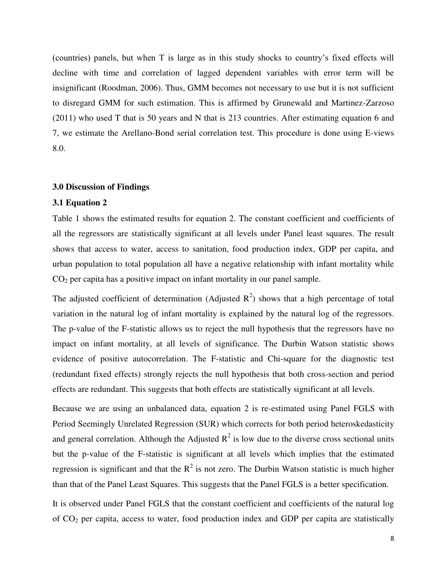(countries) panels, but when T is large as in this study shocks to country's fixed effects will decline with time and correlation of lagged dependent variables with error term will be insignificant (Roodman, 2006). Thus, GMM becomes not necessary to use but it is not sufficient to disregard GMM for such estimation. This is affirmed by Grunewald and Martinez-Zarzoso (2011) who used T that is 50 years and N that is 213 countries. After estimating equation 6 and 7, we estimate the Arellano-Bond serial correlation test. This procedure is done using E-views 8.0.

#### **3.0 Discussion of Findings**

#### **3.1 Equation 2**

Table 1 shows the estimated results for equation 2. The constant coefficient and coefficients of all the regressors are statistically significant at all levels under Panel least squares. The result shows that access to water, access to sanitation, food production index, GDP per capita, and urban population to total population all have a negative relationship with infant mortality while  $CO<sub>2</sub>$  per capita has a positive impact on infant mortality in our panel sample.

The adjusted coefficient of determination (Adjusted  $R^2$ ) shows that a high percentage of total variation in the natural log of infant mortality is explained by the natural log of the regressors. The p-value of the F-statistic allows us to reject the null hypothesis that the regressors have no impact on infant mortality, at all levels of significance. The Durbin Watson statistic shows evidence of positive autocorrelation. The F-statistic and Chi-square for the diagnostic test (redundant fixed effects) strongly rejects the null hypothesis that both cross-section and period effects are redundant. This suggests that both effects are statistically significant at all levels.

Because we are using an unbalanced data, equation 2 is re-estimated using Panel FGLS with Period Seemingly Unrelated Regression (SUR) which corrects for both period heteroskedasticity and general correlation. Although the Adjusted  $R^2$  is low due to the diverse cross sectional units but the p-value of the F-statistic is significant at all levels which implies that the estimated regression is significant and that the  $R^2$  is not zero. The Durbin Watson statistic is much higher than that of the Panel Least Squares. This suggests that the Panel FGLS is a better specification.

It is observed under Panel FGLS that the constant coefficient and coefficients of the natural log of  $CO<sub>2</sub>$  per capita, access to water, food production index and GDP per capita are statistically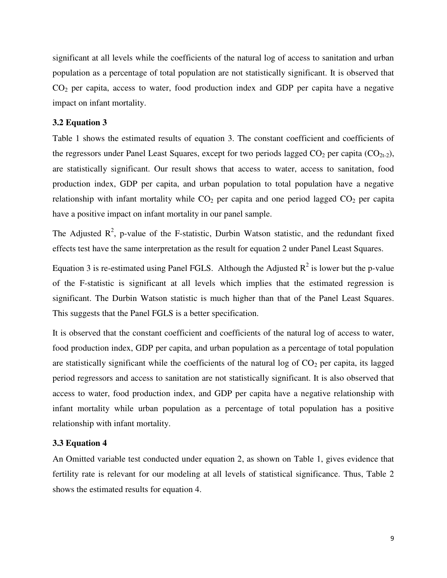significant at all levels while the coefficients of the natural log of access to sanitation and urban population as a percentage of total population are not statistically significant. It is observed that  $CO<sub>2</sub>$  per capita, access to water, food production index and GDP per capita have a negative impact on infant mortality.

#### **3.2 Equation 3**

Table 1 shows the estimated results of equation 3. The constant coefficient and coefficients of the regressors under Panel Least Squares, except for two periods lagged  $CO_2$  per capita ( $CO_{2t-2}$ ), are statistically significant. Our result shows that access to water, access to sanitation, food production index, GDP per capita, and urban population to total population have a negative relationship with infant mortality while  $CO<sub>2</sub>$  per capita and one period lagged  $CO<sub>2</sub>$  per capita have a positive impact on infant mortality in our panel sample.

The Adjusted  $\mathbb{R}^2$ , p-value of the F-statistic, Durbin Watson statistic, and the redundant fixed effects test have the same interpretation as the result for equation 2 under Panel Least Squares.

Equation 3 is re-estimated using Panel FGLS. Although the Adjusted  $R^2$  is lower but the p-value of the F-statistic is significant at all levels which implies that the estimated regression is significant. The Durbin Watson statistic is much higher than that of the Panel Least Squares. This suggests that the Panel FGLS is a better specification.

It is observed that the constant coefficient and coefficients of the natural log of access to water, food production index, GDP per capita, and urban population as a percentage of total population are statistically significant while the coefficients of the natural log of  $CO<sub>2</sub>$  per capita, its lagged period regressors and access to sanitation are not statistically significant. It is also observed that access to water, food production index, and GDP per capita have a negative relationship with infant mortality while urban population as a percentage of total population has a positive relationship with infant mortality.

#### **3.3 Equation 4**

An Omitted variable test conducted under equation 2, as shown on Table 1, gives evidence that fertility rate is relevant for our modeling at all levels of statistical significance. Thus, Table 2 shows the estimated results for equation 4.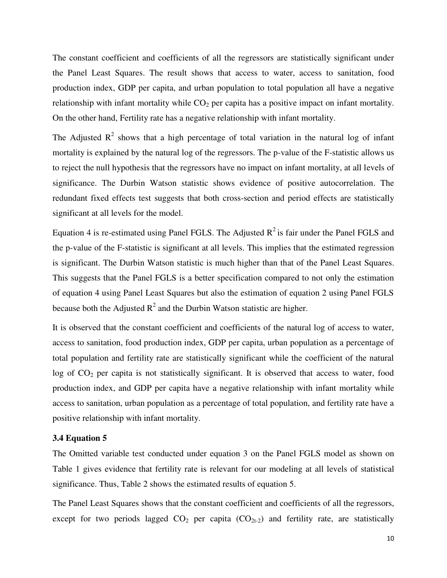The constant coefficient and coefficients of all the regressors are statistically significant under the Panel Least Squares. The result shows that access to water, access to sanitation, food production index, GDP per capita, and urban population to total population all have a negative relationship with infant mortality while  $CO<sub>2</sub>$  per capita has a positive impact on infant mortality. On the other hand, Fertility rate has a negative relationship with infant mortality.

The Adjusted  $R^2$  shows that a high percentage of total variation in the natural log of infant mortality is explained by the natural log of the regressors. The p-value of the F-statistic allows us to reject the null hypothesis that the regressors have no impact on infant mortality, at all levels of significance. The Durbin Watson statistic shows evidence of positive autocorrelation. The redundant fixed effects test suggests that both cross-section and period effects are statistically significant at all levels for the model.

Equation 4 is re-estimated using Panel FGLS. The Adjusted  $R^2$  is fair under the Panel FGLS and the p-value of the F-statistic is significant at all levels. This implies that the estimated regression is significant. The Durbin Watson statistic is much higher than that of the Panel Least Squares. This suggests that the Panel FGLS is a better specification compared to not only the estimation of equation 4 using Panel Least Squares but also the estimation of equation 2 using Panel FGLS because both the Adjusted  $R^2$  and the Durbin Watson statistic are higher.

It is observed that the constant coefficient and coefficients of the natural log of access to water, access to sanitation, food production index, GDP per capita, urban population as a percentage of total population and fertility rate are statistically significant while the coefficient of the natural log of CO<sub>2</sub> per capita is not statistically significant. It is observed that access to water, food production index, and GDP per capita have a negative relationship with infant mortality while access to sanitation, urban population as a percentage of total population, and fertility rate have a positive relationship with infant mortality.

#### **3.4 Equation 5**

The Omitted variable test conducted under equation 3 on the Panel FGLS model as shown on Table 1 gives evidence that fertility rate is relevant for our modeling at all levels of statistical significance. Thus, Table 2 shows the estimated results of equation 5.

The Panel Least Squares shows that the constant coefficient and coefficients of all the regressors, except for two periods lagged  $CO<sub>2</sub>$  per capita  $(CO<sub>2t-2</sub>)$  and fertility rate, are statistically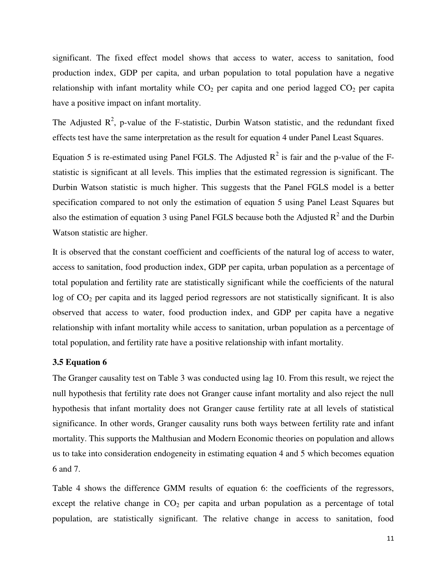significant. The fixed effect model shows that access to water, access to sanitation, food production index, GDP per capita, and urban population to total population have a negative relationship with infant mortality while  $CO<sub>2</sub>$  per capita and one period lagged  $CO<sub>2</sub>$  per capita have a positive impact on infant mortality.

The Adjusted  $\mathbb{R}^2$ , p-value of the F-statistic, Durbin Watson statistic, and the redundant fixed effects test have the same interpretation as the result for equation 4 under Panel Least Squares.

Equation 5 is re-estimated using Panel FGLS. The Adjusted  $R^2$  is fair and the p-value of the Fstatistic is significant at all levels. This implies that the estimated regression is significant. The Durbin Watson statistic is much higher. This suggests that the Panel FGLS model is a better specification compared to not only the estimation of equation 5 using Panel Least Squares but also the estimation of equation 3 using Panel FGLS because both the Adjusted  $R^2$  and the Durbin Watson statistic are higher.

It is observed that the constant coefficient and coefficients of the natural log of access to water, access to sanitation, food production index, GDP per capita, urban population as a percentage of total population and fertility rate are statistically significant while the coefficients of the natural log of CO<sub>2</sub> per capita and its lagged period regressors are not statistically significant. It is also observed that access to water, food production index, and GDP per capita have a negative relationship with infant mortality while access to sanitation, urban population as a percentage of total population, and fertility rate have a positive relationship with infant mortality.

#### **3.5 Equation 6**

The Granger causality test on Table 3 was conducted using lag 10. From this result, we reject the null hypothesis that fertility rate does not Granger cause infant mortality and also reject the null hypothesis that infant mortality does not Granger cause fertility rate at all levels of statistical significance. In other words, Granger causality runs both ways between fertility rate and infant mortality. This supports the Malthusian and Modern Economic theories on population and allows us to take into consideration endogeneity in estimating equation 4 and 5 which becomes equation 6 and 7.

Table 4 shows the difference GMM results of equation 6: the coefficients of the regressors, except the relative change in  $CO<sub>2</sub>$  per capita and urban population as a percentage of total population, are statistically significant. The relative change in access to sanitation, food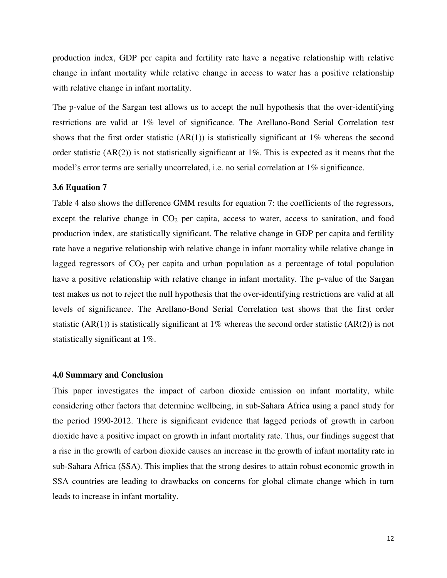production index, GDP per capita and fertility rate have a negative relationship with relative change in infant mortality while relative change in access to water has a positive relationship with relative change in infant mortality.

The p-value of the Sargan test allows us to accept the null hypothesis that the over-identifying restrictions are valid at 1% level of significance. The Arellano-Bond Serial Correlation test shows that the first order statistic  $(AR(1))$  is statistically significant at 1% whereas the second order statistic  $(AR(2))$  is not statistically significant at 1%. This is expected as it means that the model's error terms are serially uncorrelated, i.e. no serial correlation at 1% significance.

#### **3.6 Equation 7**

Table 4 also shows the difference GMM results for equation 7: the coefficients of the regressors, except the relative change in  $CO<sub>2</sub>$  per capita, access to water, access to sanitation, and food production index, are statistically significant. The relative change in GDP per capita and fertility rate have a negative relationship with relative change in infant mortality while relative change in lagged regressors of  $CO<sub>2</sub>$  per capita and urban population as a percentage of total population have a positive relationship with relative change in infant mortality. The p-value of the Sargan test makes us not to reject the null hypothesis that the over-identifying restrictions are valid at all levels of significance. The Arellano-Bond Serial Correlation test shows that the first order statistic (AR(1)) is statistically significant at 1% whereas the second order statistic (AR(2)) is not statistically significant at 1%.

#### **4.0 Summary and Conclusion**

This paper investigates the impact of carbon dioxide emission on infant mortality, while considering other factors that determine wellbeing, in sub-Sahara Africa using a panel study for the period 1990-2012. There is significant evidence that lagged periods of growth in carbon dioxide have a positive impact on growth in infant mortality rate. Thus, our findings suggest that a rise in the growth of carbon dioxide causes an increase in the growth of infant mortality rate in sub-Sahara Africa (SSA). This implies that the strong desires to attain robust economic growth in SSA countries are leading to drawbacks on concerns for global climate change which in turn leads to increase in infant mortality.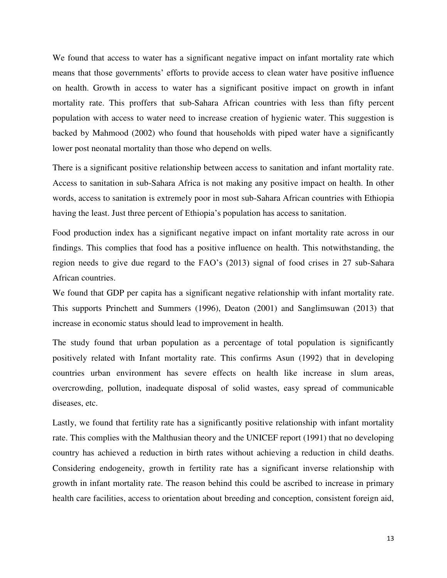We found that access to water has a significant negative impact on infant mortality rate which means that those governments' efforts to provide access to clean water have positive influence on health. Growth in access to water has a significant positive impact on growth in infant mortality rate. This proffers that sub-Sahara African countries with less than fifty percent population with access to water need to increase creation of hygienic water. This suggestion is backed by Mahmood (2002) who found that households with piped water have a significantly lower post neonatal mortality than those who depend on wells.

There is a significant positive relationship between access to sanitation and infant mortality rate. Access to sanitation in sub-Sahara Africa is not making any positive impact on health. In other words, access to sanitation is extremely poor in most sub-Sahara African countries with Ethiopia having the least. Just three percent of Ethiopia's population has access to sanitation.

Food production index has a significant negative impact on infant mortality rate across in our findings. This complies that food has a positive influence on health. This notwithstanding, the region needs to give due regard to the FAO's (2013) signal of food crises in 27 sub-Sahara African countries.

We found that GDP per capita has a significant negative relationship with infant mortality rate. This supports Princhett and Summers (1996), Deaton (2001) and Sanglimsuwan (2013) that increase in economic status should lead to improvement in health.

The study found that urban population as a percentage of total population is significantly positively related with Infant mortality rate. This confirms Asun (1992) that in developing countries urban environment has severe effects on health like increase in slum areas, overcrowding, pollution, inadequate disposal of solid wastes, easy spread of communicable diseases, etc.

Lastly, we found that fertility rate has a significantly positive relationship with infant mortality rate. This complies with the Malthusian theory and the UNICEF report (1991) that no developing country has achieved a reduction in birth rates without achieving a reduction in child deaths. Considering endogeneity, growth in fertility rate has a significant inverse relationship with growth in infant mortality rate. The reason behind this could be ascribed to increase in primary health care facilities, access to orientation about breeding and conception, consistent foreign aid,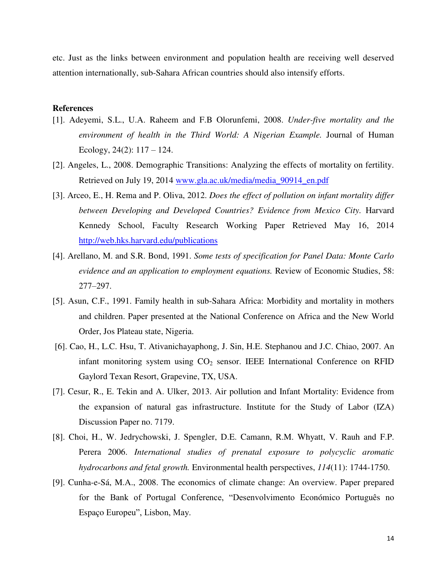etc. Just as the links between environment and population health are receiving well deserved attention internationally, sub-Sahara African countries should also intensify efforts.

#### **References**

- [1]. Adeyemi, S.L., U.A. Raheem and F.B Olorunfemi, 2008. *Under-five mortality and the environment of health in the Third World: A Nigerian Example.* Journal of Human Ecology,  $24(2)$ :  $117 - 124$ .
- [2]. Angeles, L., 2008. Demographic Transitions: Analyzing the effects of mortality on fertility. Retrieved on July 19, 2014 www.gla.ac.uk/media/media\_90914\_en.pdf
- [3]. Arceo, E., H. Rema and P. Oliva, 2012. *Does the effect of pollution on infant mortality differ between Developing and Developed Countries? Evidence from Mexico City.* Harvard Kennedy School, Faculty Research Working Paper Retrieved May 16, 2014 <http://web.hks.harvard.edu/publications>
- [4]. Arellano, M. and S.R. Bond, 1991. *Some tests of specification for Panel Data: Monte Carlo evidence and an application to employment equations.* Review of Economic Studies, 58: 277–297.
- [5]. Asun, C.F., 1991. Family health in sub-Sahara Africa: Morbidity and mortality in mothers and children. Paper presented at the National Conference on Africa and the New World Order, Jos Plateau state, Nigeria.
- [6]. Cao, H., L.C. Hsu, T. Ativanichayaphong, J. Sin, H.E. Stephanou and J.C. Chiao, 2007. An infant monitoring system using  $CO<sub>2</sub>$  sensor. IEEE International Conference on RFID Gaylord Texan Resort, Grapevine, TX, USA.
- [7]. Cesur, R., E. Tekin and A. Ulker, 2013. Air pollution and Infant Mortality: Evidence from the expansion of natural gas infrastructure. Institute for the Study of Labor (IZA) Discussion Paper no. 7179.
- [8]. Choi, H., W. Jedrychowski, J. Spengler, D.E. Camann, R.M. Whyatt, V. Rauh and F.P. Perera 2006. *International studies of prenatal exposure to polycyclic aromatic hydrocarbons and fetal growth.* Environmental health perspectives, *114*(11): 1744-1750.
- [9]. Cunha-e-Sá, M.A., 2008. The economics of climate change: An overview. Paper prepared for the Bank of Portugal Conference, "Desenvolvimento Económico Português no Espaço Europeu", Lisbon, May.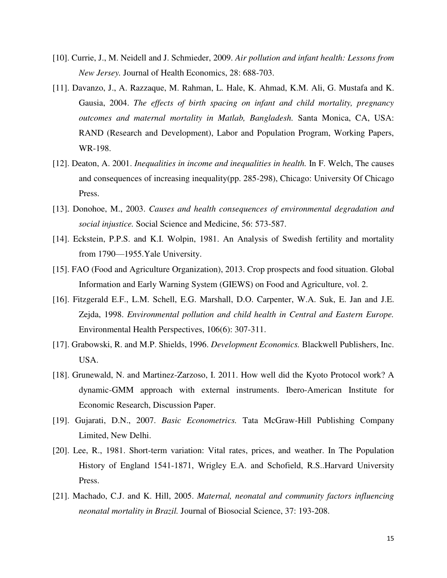- [10]. Currie, J., M. Neidell and J. Schmieder, 2009. *Air pollution and infant health: Lessons from New Jersey.* Journal of Health Economics, 28: 688-703.
- [11]. Davanzo, J., A. Razzaque, M. Rahman, L. Hale, K. Ahmad, K.M. Ali, G. Mustafa and K. Gausia, 2004. *The effects of birth spacing on infant and child mortality, pregnancy outcomes and maternal mortality in Matlab, Bangladesh.* Santa Monica, CA, USA: RAND (Research and Development), Labor and Population Program, Working Papers, WR-198.
- [12]. Deaton, A. 2001. *Inequalities in income and inequalities in health.* In F. Welch, The causes and consequences of increasing inequality(pp. 285-298), Chicago: University Of Chicago Press.
- [13]. Donohoe, M., 2003. *Causes and health consequences of environmental degradation and social injustice.* Social Science and Medicine, 56: 573-587.
- [14]. Eckstein, P.P.S. and K.I. Wolpin, 1981. An Analysis of Swedish fertility and mortality from 1790—1955.Yale University.
- [15]. FAO (Food and Agriculture Organization), 2013. Crop prospects and food situation. Global Information and Early Warning System (GIEWS) on Food and Agriculture, vol. 2.
- [16]. Fitzgerald E.F., L.M. Schell, E.G. Marshall, D.O. Carpenter, W.A. Suk, E. Jan and J.E. Zejda, 1998. *Environmental pollution and child health in Central and Eastern Europe.*  Environmental Health Perspectives, 106(6): 307-311.
- [17]. Grabowski, R. and M.P. Shields, 1996. *Development Economics.* Blackwell Publishers, Inc. USA.
- [18]. Grunewald, N. and Martinez-Zarzoso, I. 2011. How well did the Kyoto Protocol work? A dynamic-GMM approach with external instruments. Ibero-American Institute for Economic Research, Discussion Paper.
- [19]. Gujarati, D.N., 2007. *Basic Econometrics.* Tata McGraw-Hill Publishing Company Limited, New Delhi.
- [20]. Lee, R., 1981. Short-term variation: Vital rates, prices, and weather. In The Population History of England 1541-1871, Wrigley E.A. and Schofield, R.S..Harvard University Press.
- [21]. Machado, C.J. and K. Hill, 2005. *Maternal, neonatal and community factors influencing neonatal mortality in Brazil.* Journal of Biosocial Science, 37: 193-208.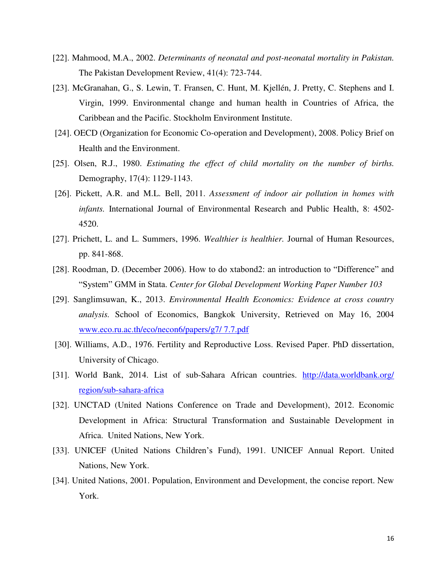- [22]. Mahmood, M.A., 2002. *Determinants of neonatal and post-neonatal mortality in Pakistan.*  The Pakistan Development Review, 41(4): 723-744.
- [23]. McGranahan, G., S. Lewin, T. Fransen, C. Hunt, M. Kjellén, J. Pretty, C. Stephens and I. Virgin, 1999. Environmental change and human health in Countries of Africa, the Caribbean and the Pacific. Stockholm Environment Institute.
- [24]. OECD (Organization for Economic Co-operation and Development), 2008. Policy Brief on Health and the Environment.
- [25]. Olsen, R.J., 1980. *Estimating the effect of child mortality on the number of births.*  Demography, 17(4): 1129-1143.
- [26]. Pickett, A.R. and M.L. Bell, 2011. *Assessment of indoor air pollution in homes with infants.* International Journal of Environmental Research and Public Health, 8: 4502- 4520.
- [27]. Prichett, L. and L. Summers, 1996. *Wealthier is healthier.* Journal of Human Resources, pp. 841-868.
- [28]. Roodman, D. (December 2006). How to do xtabond2: an introduction to "Difference" and "System" GMM in Stata. *Center for Global Development Working Paper Number 103*
- [29]. Sanglimsuwan, K., 2013. *Environmental Health Economics: Evidence at cross country analysis.* School of Economics, Bangkok University, Retrieved on May 16, 2004 [www.eco.ru.ac.th/eco/necon6/papers/g7/ 7.7.pdf](http://www.eco.ru.ac.th/eco/necon6/papers/g7/%207.7.pdf)
- [30]. Williams, A.D., 1976. Fertility and Reproductive Loss. Revised Paper. PhD dissertation, University of Chicago.
- [31]. World Bank, 2014. List of sub-Sahara African countries. [http://data.worldbank.org/](http://data.worldbank.org/%20region/sub-sahara-africa)  [region/sub-sahara-africa](http://data.worldbank.org/%20region/sub-sahara-africa)
- [32]. UNCTAD (United Nations Conference on Trade and Development), 2012. Economic Development in Africa: Structural Transformation and Sustainable Development in Africa. United Nations, New York.
- [33]. UNICEF (United Nations Children's Fund), 1991. UNICEF Annual Report. United Nations, New York.
- [34]. United Nations, 2001. Population, Environment and Development, the concise report. New York.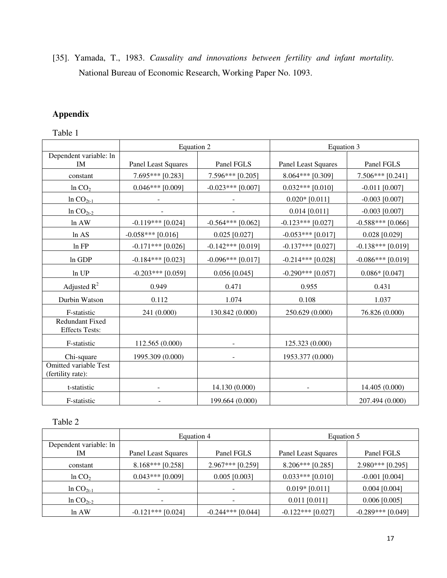[35]. Yamada, T., 1983. *Causality and innovations between fertility and infant mortality.*  National Bureau of Economic Research, Working Paper No. 1093.

# **Appendix**

# Table 1

|                                                   | Equation 2                 |                     | Equation 3                 |                     |
|---------------------------------------------------|----------------------------|---------------------|----------------------------|---------------------|
| Dependent variable: ln                            |                            |                     |                            |                     |
| <b>IM</b>                                         | <b>Panel Least Squares</b> | Panel FGLS          | <b>Panel Least Squares</b> | Panel FGLS          |
| constant                                          | 7.695*** [0.283]           | $7.596***$ [0.205]  | 8.064*** [0.309]           | 7.506*** [0.241]    |
| ln CO <sub>2</sub>                                | $0.046***$ [0.009]         | $-0.023***$ [0.007] | $0.032***$ [0.010]         | $-0.011$ [0.007]    |
| In $CO_{2t-1}$                                    |                            |                     | $0.020*$ [0.011]           | $-0.003$ [0.007]    |
| In $CO2t-2$                                       |                            |                     | $0.014$ [0.011]            | $-0.003$ [0.007]    |
| In AW                                             | $-0.119***$ [0.024]        | $-0.564***$ [0.062] | $-0.123***$ [0.027]        | $-0.588***$ [0.066] |
| ln AS                                             | $-0.058***$ [0.016]        | $0.025$ [0.027]     | $-0.053***$ [0.017]        | $0.028$ [0.029]     |
| In FP                                             | $-0.171***$ [0.026]        | $-0.142***$ [0.019] | $-0.137***$ [0.027]        | $-0.138***$ [0.019] |
| In GDP                                            | $-0.184***$ [0.023]        | $-0.096***$ [0.017] | $-0.214***$ [0.028]        | $-0.086***$ [0.019] |
| ln UP                                             | $-0.203***$ [0.059]        | $0.056$ [0.045]     | $-0.290***$ [0.057]        | $0.086*$ [0.047]    |
| Adjusted $R^2$                                    | 0.949                      | 0.471               | 0.955                      | 0.431               |
| Durbin Watson                                     | 0.112                      | 1.074               | 0.108                      | 1.037               |
| F-statistic                                       | 241 (0.000)                | 130.842 (0.000)     | 250.629 (0.000)            | 76.826 (0.000)      |
| <b>Redundant Fixed</b><br><b>Effects Tests:</b>   |                            |                     |                            |                     |
| F-statistic                                       | 112.565 (0.000)            |                     | 125.323 (0.000)            |                     |
| Chi-square                                        | 1995.309 (0.000)           |                     | 1953.377 (0.000)           |                     |
| <b>Omitted variable Test</b><br>(fertility rate): |                            |                     |                            |                     |
| t-statistic                                       |                            | 14.130 (0.000)      |                            | 14.405 (0.000)      |
| F-statistic                                       |                            | 199.664 (0.000)     |                            | 207.494 (0.000)     |

# Table 2

|                              | Equation 4          |                     | Equation 5                 |                     |
|------------------------------|---------------------|---------------------|----------------------------|---------------------|
| Dependent variable: ln<br>IΜ | Panel Least Squares | Panel FGLS          | <b>Panel Least Squares</b> | Panel FGLS          |
| constant                     | $8.168***$ [0.258]  | $2.967***$ [0.259]  | $8.206***$ [0.285]         | $2.980***$ [0.295]  |
| ln CO <sub>2</sub>           | $0.043***$ [0.009]  | $0.005$ [0.003]     | $0.033***$ [0.010]         | $-0.001$ [0.004]    |
| $ln CO_{2t-1}$               |                     |                     | $0.019*$ [0.011]           | $0.004$ [0.004]     |
| $ln CO_{2t-2}$               |                     |                     | $0.011$ [0.011]            | $0.006$ [0.005]     |
| ln A W                       | $-0.121***$ [0.024] | $-0.244***$ [0.044] | $-0.122$ *** [0.027]       | $-0.289***$ [0.049] |